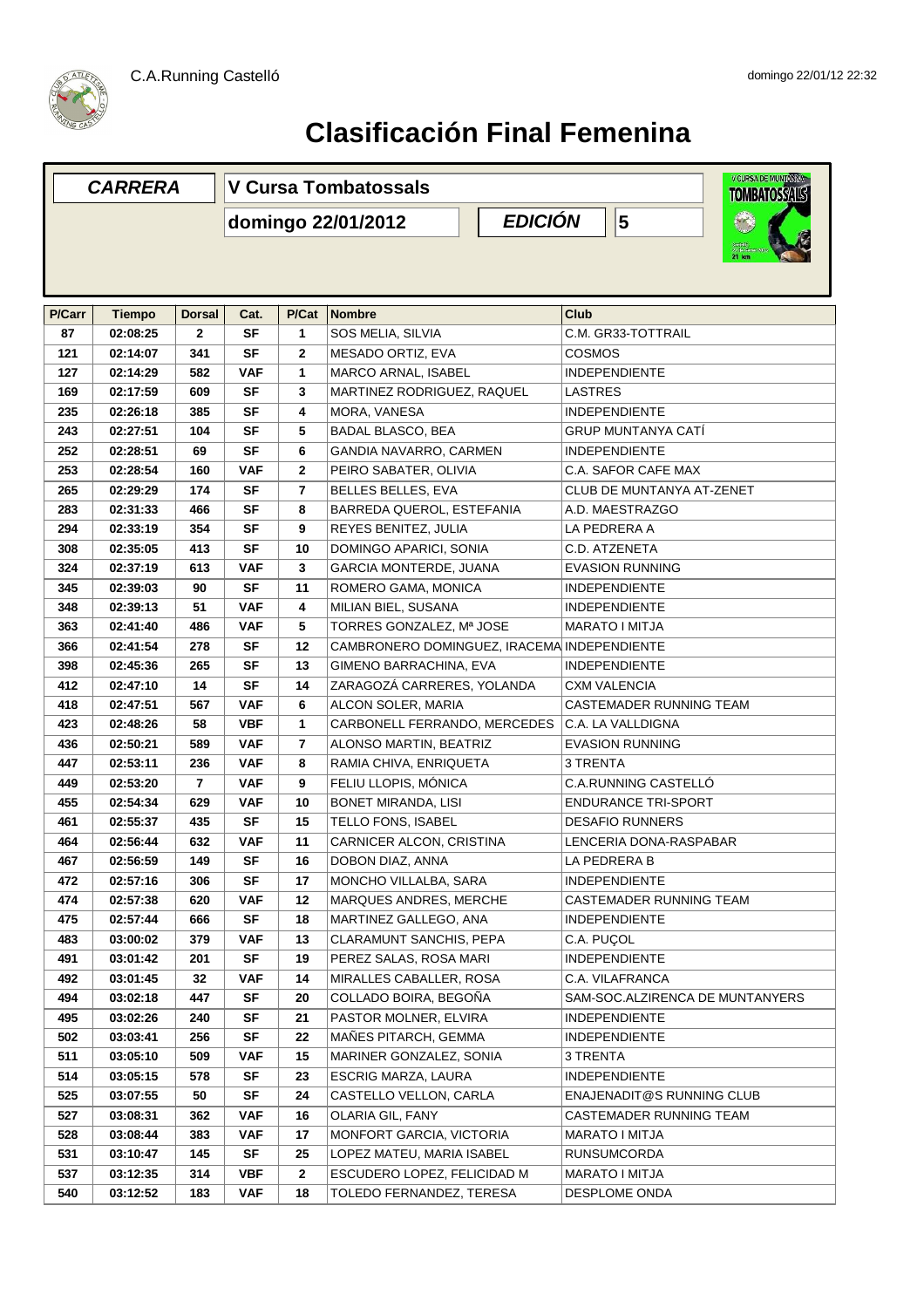



## **Clasificación Final Femenina**

| <b>CARRERA</b> |                      |               | V Cursa Tombatossals                 | V CURSA DE MUNTANYAN<br><b>TOMBATOSSALS</b> |                                                          |                                 |  |  |  |  |
|----------------|----------------------|---------------|--------------------------------------|---------------------------------------------|----------------------------------------------------------|---------------------------------|--|--|--|--|
|                |                      |               | <b>EDICIÓN</b><br>domingo 22/01/2012 |                                             |                                                          | $\overline{\mathbf{5}}$         |  |  |  |  |
|                |                      |               |                                      |                                             |                                                          |                                 |  |  |  |  |
| P/Carr         | <b>Tiempo</b>        | <b>Dorsal</b> | Cat.                                 | P/Cat                                       | <b>Nombre</b>                                            | Club                            |  |  |  |  |
| 87             | 02:08:25             | $\mathbf{2}$  | <b>SF</b>                            | 1                                           | SOS MELIA, SILVIA<br>C.M. GR33-TOTTRAIL                  |                                 |  |  |  |  |
| 121            | 02:14:07             | 341           | SF                                   | $\mathbf{2}$                                | MESADO ORTIZ, EVA<br><b>COSMOS</b>                       |                                 |  |  |  |  |
| 127            | 02:14:29             | 582           | VAF                                  | 1                                           | MARCO ARNAL, ISABEL<br><b>INDEPENDIENTE</b>              |                                 |  |  |  |  |
| 169            | 02:17:59             | 609           | SF                                   | 3                                           | MARTINEZ RODRIGUEZ, RAQUEL<br>LASTRES                    |                                 |  |  |  |  |
| 235            | 02:26:18             | 385           | SF                                   | 4                                           | MORA, VANESA<br><b>INDEPENDIENTE</b>                     |                                 |  |  |  |  |
| 243            | 02:27:51             | 104           | SF                                   | 5                                           | <b>BADAL BLASCO, BEA</b><br>GRUP MUNTANYA CATI           |                                 |  |  |  |  |
| 252            | 02:28:51             | 69            | SF                                   | 6                                           | GANDIA NAVARRO, CARMEN                                   | <b>INDEPENDIENTE</b>            |  |  |  |  |
| 253            | 02:28:54             | 160           | <b>VAF</b>                           | $\mathbf{2}$                                | PEIRO SABATER, OLIVIA                                    | C.A. SAFOR CAFE MAX             |  |  |  |  |
| 265            | 02:29:29             | 174           | SF                                   | 7                                           | <b>BELLES BELLES, EVA</b>                                | CLUB DE MUNTANYA AT-ZENET       |  |  |  |  |
| 283            | 02:31:33             | 466           | SF                                   | 8                                           | BARREDA QUEROL, ESTEFANIA                                | A.D. MAESTRAZGO                 |  |  |  |  |
| 294            | 02:33:19             | 354           | SF                                   | 9                                           | REYES BENITEZ, JULIA                                     | LA PEDRERA A                    |  |  |  |  |
| 308            | 02:35:05             | 413           | SF                                   | 10                                          | DOMINGO APARICI, SONIA                                   | C.D. ATZENETA                   |  |  |  |  |
| 324            | 02:37:19             | 613           | VAF                                  | 3                                           | <b>GARCIA MONTERDE, JUANA</b>                            | <b>EVASION RUNNING</b>          |  |  |  |  |
| 345            | 02:39:03             | 90            | <b>SF</b>                            | 11                                          | ROMERO GAMA, MONICA                                      | <b>INDEPENDIENTE</b>            |  |  |  |  |
| 348            | 02:39:13             | 51            | <b>VAF</b>                           | 4                                           | MILIAN BIEL, SUSANA                                      | <b>INDEPENDIENTE</b>            |  |  |  |  |
| 363            | 02:41:40             | 486           | <b>VAF</b>                           | 5                                           | TORRES GONZALEZ, Mª JOSE                                 | <b>MARATO I MITJA</b>           |  |  |  |  |
| 366            | 02:41:54             | 278           | <b>SF</b>                            | 12                                          | CAMBRONERO DOMINGUEZ, IRACEMA INDEPENDIENTE              |                                 |  |  |  |  |
| 398            | 02:45:36             | 265           | SF                                   | 13                                          | GIMENO BARRACHINA, EVA                                   | <b>INDEPENDIENTE</b>            |  |  |  |  |
| 412            | 02:47:10             | 14            | <b>SF</b>                            | 14                                          | ZARAGOZÁ CARRERES, YOLANDA                               | <b>CXM VALENCIA</b>             |  |  |  |  |
| 418            | 02:47:51             | 567           | <b>VAF</b>                           | 6                                           | ALCON SOLER, MARIA                                       | CASTEMADER RUNNING TEAM         |  |  |  |  |
| 423            | 02:48:26             | 58            | <b>VBF</b>                           | 1                                           | CARBONELL FERRANDO, MERCEDES                             | C.A. LA VALLDIGNA               |  |  |  |  |
| 436            | 02:50:21             | 589           | <b>VAF</b>                           | 7                                           | ALONSO MARTIN, BEATRIZ<br><b>EVASION RUNNING</b>         |                                 |  |  |  |  |
| 447            | 02:53:11             | 236           | <b>VAF</b>                           | 8                                           | 3 TRENTA<br>RAMIA CHIVA, ENRIQUETA                       |                                 |  |  |  |  |
| 449            | 02:53:20             | 7             | <b>VAF</b>                           | 9                                           | FELIU LLOPIS, MÓNICA                                     | C.A.RUNNING CASTELLÓ            |  |  |  |  |
| 455            | 02:54:34             | 629           | <b>VAF</b>                           | 10                                          | <b>BONET MIRANDA, LISI</b>                               | <b>ENDURANCE TRI-SPORT</b>      |  |  |  |  |
| 461            | 02:55:37             | 435           | SF                                   | 15                                          | TELLO FONS, ISABEL                                       | <b>DESAFIO RUNNERS</b>          |  |  |  |  |
| 464            | 02:56:44             | 632           | <b>VAF</b>                           | 11                                          | CARNICER ALCON, CRISTINA                                 | LENCERIA DONA-RASPABAR          |  |  |  |  |
| 467            | 02:56:59             | 149           | <b>SF</b>                            | 16                                          | DOBON DIAZ, ANNA                                         | LA PEDRERA B                    |  |  |  |  |
| 472            | 02:57:16             | 306           | SF                                   | 17                                          | MONCHO VILLALBA, SARA                                    | <b>INDEPENDIENTE</b>            |  |  |  |  |
| 474            | 02:57:38             | 620           | <b>VAF</b>                           | 12                                          | MARQUES ANDRES, MERCHE                                   | CASTEMADER RUNNING TEAM         |  |  |  |  |
| 475            | 02:57:44             | 666           | SF                                   | 18                                          | MARTINEZ GALLEGO, ANA                                    | INDEPENDIENTE                   |  |  |  |  |
| 483            | 03:00:02             | 379           | <b>VAF</b>                           | 13                                          | CLARAMUNT SANCHIS, PEPA                                  | C.A. PUÇOL                      |  |  |  |  |
| 491            | 03:01:42             | 201           | SF                                   | 19                                          | PEREZ SALAS, ROSA MARI                                   | <b>INDEPENDIENTE</b>            |  |  |  |  |
| 492            | 03:01:45             | 32            | VAF                                  | 14                                          | MIRALLES CABALLER, ROSA                                  | C.A. VILAFRANCA                 |  |  |  |  |
| 494            | 03:02:18             | 447           | SF                                   | 20                                          | COLLADO BOIRA, BEGOÑA                                    | SAM-SOC.ALZIRENCA DE MUNTANYERS |  |  |  |  |
| 495            | 03:02:26             | 240           | SF                                   | 21                                          | PASTOR MOLNER, ELVIRA                                    | <b>INDEPENDIENTE</b>            |  |  |  |  |
| 502            | 03:03:41             | 256           | <b>SF</b>                            | 22                                          | MAÑES PITARCH, GEMMA                                     | <b>INDEPENDIENTE</b>            |  |  |  |  |
| 511            | 03:05:10             | 509           | <b>VAF</b>                           | 15                                          | MARINER GONZALEZ, SONIA                                  | 3 TRENTA                        |  |  |  |  |
| 514            | 03:05:15             | 578           | SF                                   | 23                                          | ESCRIG MARZA, LAURA                                      | <b>INDEPENDIENTE</b>            |  |  |  |  |
| 525            | 03:07:55             | 50            | <b>SF</b>                            | 24                                          | CASTELLO VELLON, CARLA                                   | ENAJENADIT@S RUNNING CLUB       |  |  |  |  |
| 527            | 03:08:31             | 362           | <b>VAF</b>                           | 16                                          | OLARIA GIL, FANY                                         | CASTEMADER RUNNING TEAM         |  |  |  |  |
| 528            | 03:08:44             | 383           | <b>VAF</b><br><b>SF</b>              | 17                                          | MONFORT GARCIA, VICTORIA                                 | MARATO I MITJA                  |  |  |  |  |
| 531<br>537     | 03:10:47<br>03:12:35 | 145<br>314    | VBF                                  | 25                                          | LOPEZ MATEU, MARIA ISABEL<br>ESCUDERO LOPEZ, FELICIDAD M | RUNSUMCORDA<br>MARATO I MITJA   |  |  |  |  |
|                |                      |               |                                      | $\mathbf{2}$                                |                                                          |                                 |  |  |  |  |
| 540            | 03:12:52             | 183           | VAF.                                 | 18                                          | TOLEDO FERNANDEZ, TERESA                                 | DESPLOME ONDA                   |  |  |  |  |